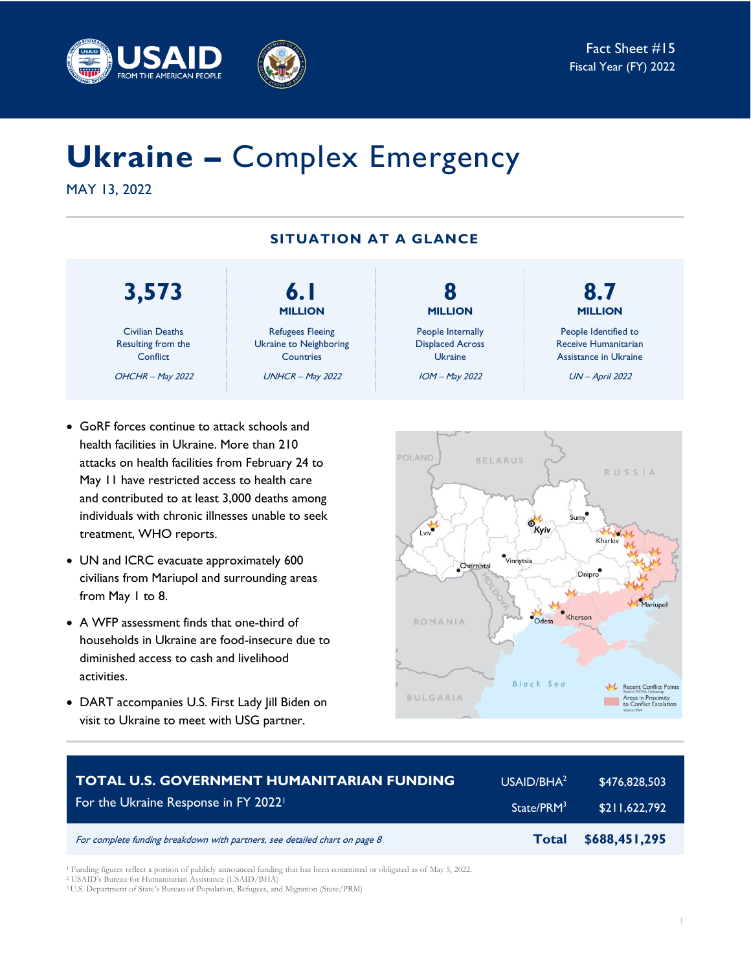



# **Ukraine –** Complex Emergency

MAY 13, 2022

## **SITUATION AT A GLANCE**

## **3,573**

Civilian Deaths Resulting from the **Conflict** OHCHR – May 2022

treatment, WHO reports.

from May 1 to 8.

activities.

• GoRF forces continue to attack schools and health facilities in Ukraine. More than 210 attacks on health facilities from February 24 to May 11 have restricted access to health care and contributed to at least 3,000 deaths among individuals with chronic illnesses unable to seek

• UN and ICRC evacuate approximately 600 civilians from Mariupol and surrounding areas

• A WFP assessment finds that one-third of

diminished access to cash and livelihood

households in Ukraine are food-insecure due to

• DART accompanies U.S. First Lady Jill Biden on visit to Ukraine to meet with USG partner.

**MILLION** Refugees Fleeing Ukraine to Neighboring **Countries** UNHCR – May 2022

**6.1**

**8 MILLION** People Internally Displaced Across Ukraine IOM – May 2022

**8.7 MILLION**

People Identified to Receive Humanitarian Assistance in Ukraine

UN – April 2022



| <b>TOTAL U.S. GOVERNMENT HUMANITARIAN FUNDING</b>                          | USAID/BHA <sup>2</sup> | \$476,828,503 |
|----------------------------------------------------------------------------|------------------------|---------------|
| For the Ukraine Response in FY 2022 <sup>1</sup>                           | State/PRM <sup>3</sup> | \$211,622,792 |
| For complete funding breakdown with partners, see detailed chart on page 8 | Total                  | \$688,451,295 |

<sup>1</sup> Funding figures reflect a portion of publicly announced funding that has been committed or obligated as of May 5, 2022.

<sup>2</sup> USAID's Bureau for Humanitarian Assistance (USAID/BHA)

<sup>3</sup> U.S. Department of State's Bureau of Population, Refugees, and Migration (State/PRM)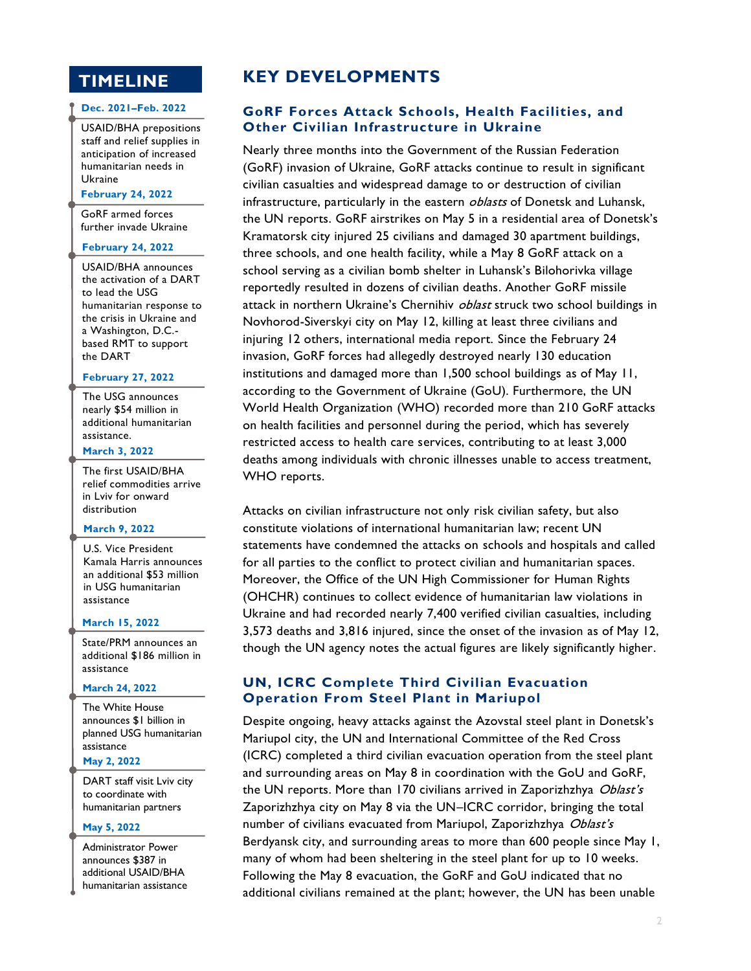## **TIMELINE**

#### **Dec. 2021–Feb. 2022**

USAID/BHA prepositions staff and relief supplies in anticipation of increased humanitarian needs in Ukraine

**February 24, 2022**

GoRF armed forces further invade Ukraine

#### **February 24, 2022**

USAID/BHA announces the activation of a DART to lead the USG humanitarian response to the crisis in Ukraine and a Washington, D.C. based RMT to support the DART

#### **February 27, 2022**

The USG announces nearly \$54 million in additional humanitarian assistance.

## **March 3, 2022**

The first USAID/BHA relief commodities arrive in Lviv for onward distribution

#### **March 9, 2022**

U.S. Vice President Kamala Harris announces an additional \$53 million in USG humanitarian assistance

#### **March 15, 2022**

State/PRM announces an additional \$186 million in assistance

#### **March 24, 2022**

The White House announces \$1 billion in planned USG humanitarian assistance

#### **May 2, 2022**

DART staff visit Lviv city to coordinate with humanitarian partners

#### **May 5, 2022**

Administrator Power announces \$387 in additional USAID/BHA humanitarian assistance

## **KEY DEVELOPMENTS**

## **GoRF Forces Attack Schools, Health Facilities, and Other Civilian Infrastructure in Ukraine**

Nearly three months into the Government of the Russian Federation (GoRF) invasion of Ukraine, GoRF attacks continue to result in significant civilian casualties and widespread damage to or destruction of civilian infrastructure, particularly in the eastern *oblasts* of Donetsk and Luhansk, the UN reports. GoRF airstrikes on May 5 in a residential area of Donetsk's Kramatorsk city injured 25 civilians and damaged 30 apartment buildings, three schools, and one health facility, while a May 8 GoRF attack on a school serving as a civilian bomb shelter in Luhansk's Bilohorivka village reportedly resulted in dozens of civilian deaths. Another GoRF missile attack in northern Ukraine's Chernihiv *oblast* struck two school buildings in Novhorod-Siverskyi city on May 12, killing at least three civilians and injuring 12 others, international media report. Since the February 24 invasion, GoRF forces had allegedly destroyed nearly 130 education institutions and damaged more than 1,500 school buildings as of May 11, according to the Government of Ukraine (GoU). Furthermore, the UN World Health Organization (WHO) recorded more than 210 GoRF attacks on health facilities and personnel during the period, which has severely restricted access to health care services, contributing to at least 3,000 deaths among individuals with chronic illnesses unable to access treatment, WHO reports.

Attacks on civilian infrastructure not only risk civilian safety, but also constitute violations of international humanitarian law; recent UN statements have condemned the attacks on schools and hospitals and called for all parties to the conflict to protect civilian and humanitarian spaces. Moreover, the Office of the UN High Commissioner for Human Rights (OHCHR) continues to collect evidence of humanitarian law violations in Ukraine and had recorded nearly 7,400 verified civilian casualties, including 3,573 deaths and 3,816 injured, since the onset of the invasion as of May 12, though the UN agency notes the actual figures are likely significantly higher.

## **UN, ICRC Complete Third Civilian Evacuation Operation From Steel Plant in Mariupol**

Despite ongoing, heavy attacks against the Azovstal steel plant in Donetsk's Mariupol city, the UN and International Committee of the Red Cross (ICRC) completed a third civilian evacuation operation from the steel plant and surrounding areas on May 8 in coordination with the GoU and GoRF, the UN reports. More than 170 civilians arrived in Zaporizhzhya Oblast's Zaporizhzhya city on May 8 via the UN–ICRC corridor, bringing the total number of civilians evacuated from Mariupol, Zaporizhzhya Oblast's Berdyansk city, and surrounding areas to more than 600 people since May 1, many of whom had been sheltering in the steel plant for up to 10 weeks. Following the May 8 evacuation, the GoRF and GoU indicated that no additional civilians remained at the plant; however, the UN has been unable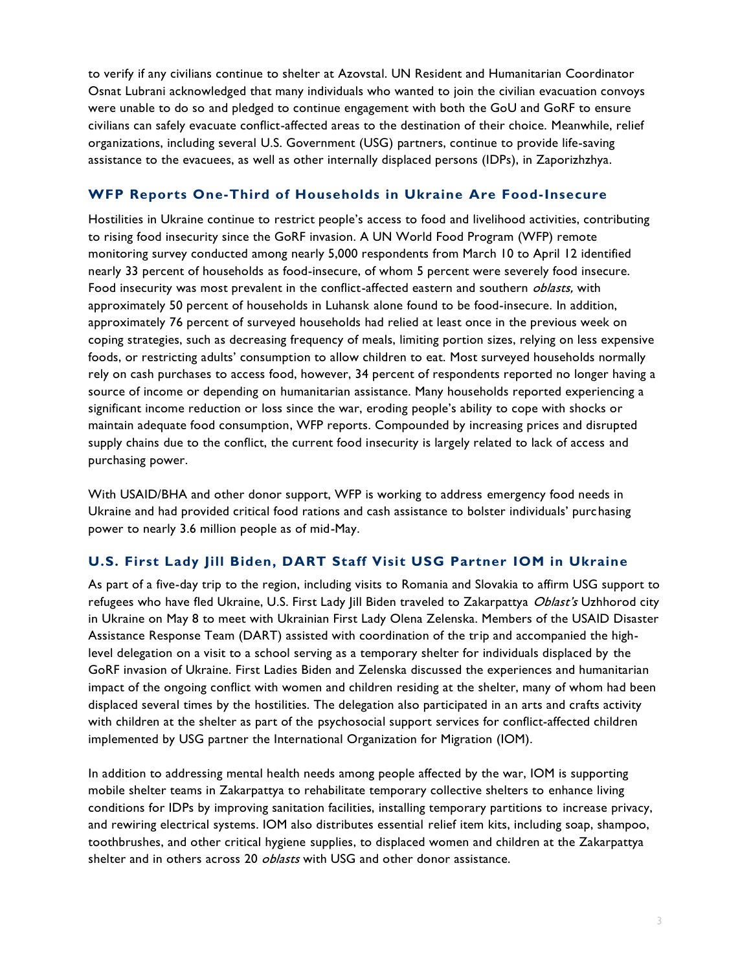to verify if any civilians continue to shelter at Azovstal. UN Resident and Humanitarian Coordinator Osnat Lubrani acknowledged that many individuals who wanted to join the civilian evacuation convoys were unable to do so and pledged to continue engagement with both the GoU and GoRF to ensure civilians can safely evacuate conflict-affected areas to the destination of their choice. Meanwhile, relief organizations, including several U.S. Government (USG) partners, continue to provide life-saving assistance to the evacuees, as well as other internally displaced persons (IDPs), in Zaporizhzhya.

## **WFP Reports One-Third of Households in Ukraine Are Food-Insecure**

Hostilities in Ukraine continue to restrict people's access to food and livelihood activities, contributing to rising food insecurity since the GoRF invasion. A UN World Food Program (WFP) remote monitoring survey conducted among nearly 5,000 respondents from March 10 to April 12 identified nearly 33 percent of households as food-insecure, of whom 5 percent were severely food insecure. Food insecurity was most prevalent in the conflict-affected eastern and southern *oblasts*, with approximately 50 percent of households in Luhansk alone found to be food-insecure. In addition, approximately 76 percent of surveyed households had relied at least once in the previous week on coping strategies, such as decreasing frequency of meals, limiting portion sizes, relying on less expensive foods, or restricting adults' consumption to allow children to eat. Most surveyed households normally rely on cash purchases to access food, however, 34 percent of respondents reported no longer having a source of income or depending on humanitarian assistance. Many households reported experiencing a significant income reduction or loss since the war, eroding people's ability to cope with shocks or maintain adequate food consumption, WFP reports. Compounded by increasing prices and disrupted supply chains due to the conflict, the current food insecurity is largely related to lack of access and purchasing power.

With USAID/BHA and other donor support, WFP is working to address emergency food needs in Ukraine and had provided critical food rations and cash assistance to bolster individuals' purchasing power to nearly 3.6 million people as of mid-May.

## **U.S. First Lady Jill Biden, DART Staff Visit USG Partner IOM in Ukraine**

As part of a five-day trip to the region, including visits to Romania and Slovakia to affirm USG support to refugees who have fled Ukraine, U.S. First Lady | ill Biden traveled to Zakarpattya Oblast's Uzhhorod city in Ukraine on May 8 to meet with Ukrainian First Lady Olena Zelenska. Members of the USAID Disaster Assistance Response Team (DART) assisted with coordination of the trip and accompanied the highlevel delegation on a visit to a school serving as a temporary shelter for individuals displaced by the GoRF invasion of Ukraine. First Ladies Biden and Zelenska discussed the experiences and humanitarian impact of the ongoing conflict with women and children residing at the shelter, many of whom had been displaced several times by the hostilities. The delegation also participated in an arts and crafts activity with children at the shelter as part of the psychosocial support services for conflict-affected children implemented by USG partner the International Organization for Migration (IOM).

In addition to addressing mental health needs among people affected by the war, IOM is supporting mobile shelter teams in Zakarpattya to rehabilitate temporary collective shelters to enhance living conditions for IDPs by improving sanitation facilities, installing temporary partitions to increase privacy, and rewiring electrical systems. IOM also distributes essential relief item kits, including soap, shampoo, toothbrushes, and other critical hygiene supplies, to displaced women and children at the Zakarpattya shelter and in others across 20 *oblasts* with USG and other donor assistance.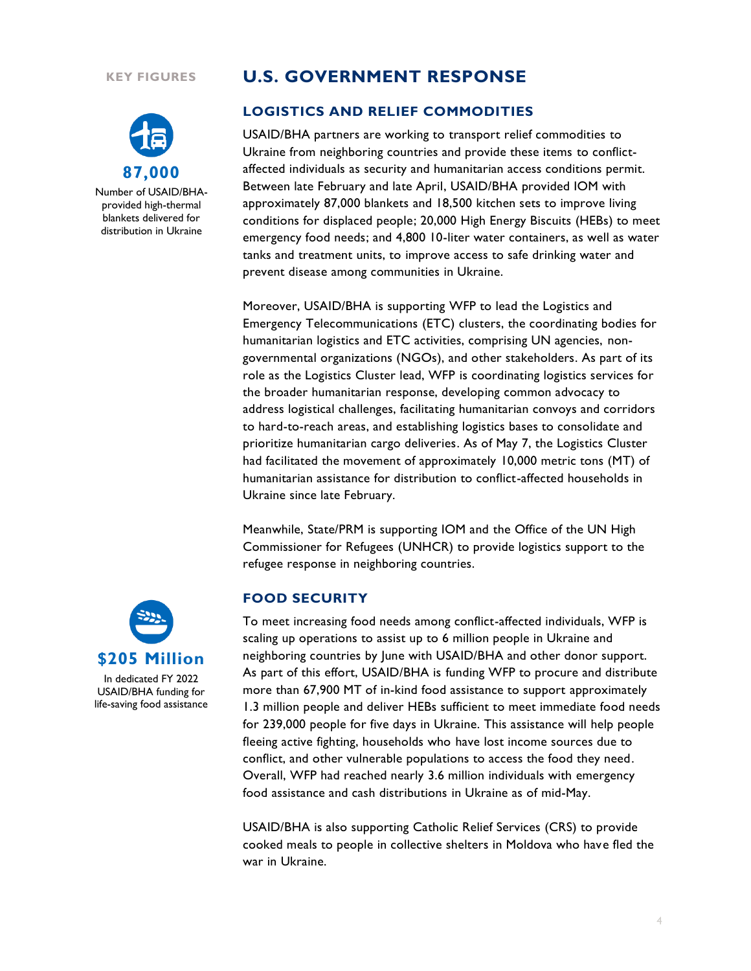#### **KEY FIGURES**



Number of USAID/BHAprovided high-thermal blankets delivered for distribution in Ukraine

## **U.S. GOVERNMENT RESPONSE**

## **LOGISTICS AND RELIEF COMMODITIES**

USAID/BHA partners are working to transport relief commodities to Ukraine from neighboring countries and provide these items to conflictaffected individuals as security and humanitarian access conditions permit. Between late February and late April, USAID/BHA provided IOM with approximately 87,000 blankets and 18,500 kitchen sets to improve living conditions for displaced people; 20,000 High Energy Biscuits (HEBs) to meet emergency food needs; and 4,800 10-liter water containers, as well as water tanks and treatment units, to improve access to safe drinking water and prevent disease among communities in Ukraine.

Moreover, USAID/BHA is supporting WFP to lead the Logistics and Emergency Telecommunications (ETC) clusters, the coordinating bodies for humanitarian logistics and ETC activities, comprising UN agencies, nongovernmental organizations (NGOs), and other stakeholders. As part of its role as the Logistics Cluster lead, WFP is coordinating logistics services for the broader humanitarian response, developing common advocacy to address logistical challenges, facilitating humanitarian convoys and corridors to hard-to-reach areas, and establishing logistics bases to consolidate and prioritize humanitarian cargo deliveries. As of May 7, the Logistics Cluster had facilitated the movement of approximately 10,000 metric tons (MT) of humanitarian assistance for distribution to conflict-affected households in Ukraine since late February.

Meanwhile, State/PRM is supporting IOM and the Office of the UN High Commissioner for Refugees (UNHCR) to provide logistics support to the refugee response in neighboring countries.

#### **FOOD SECURITY**

To meet increasing food needs among conflict-affected individuals, WFP is scaling up operations to assist up to 6 million people in Ukraine and neighboring countries by June with USAID/BHA and other donor support. As part of this effort, USAID/BHA is funding WFP to procure and distribute more than 67,900 MT of in-kind food assistance to support approximately 1.3 million people and deliver HEBs sufficient to meet immediate food needs for 239,000 people for five days in Ukraine. This assistance will help people fleeing active fighting, households who have lost income sources due to conflict, and other vulnerable populations to access the food they need. Overall, WFP had reached nearly 3.6 million individuals with emergency food assistance and cash distributions in Ukraine as of mid-May.

USAID/BHA is also supporting Catholic Relief Services (CRS) to provide cooked meals to people in collective shelters in Moldova who have fled the war in Ukraine.



In dedicated FY 2022 USAID/BHA funding for life-saving food assistance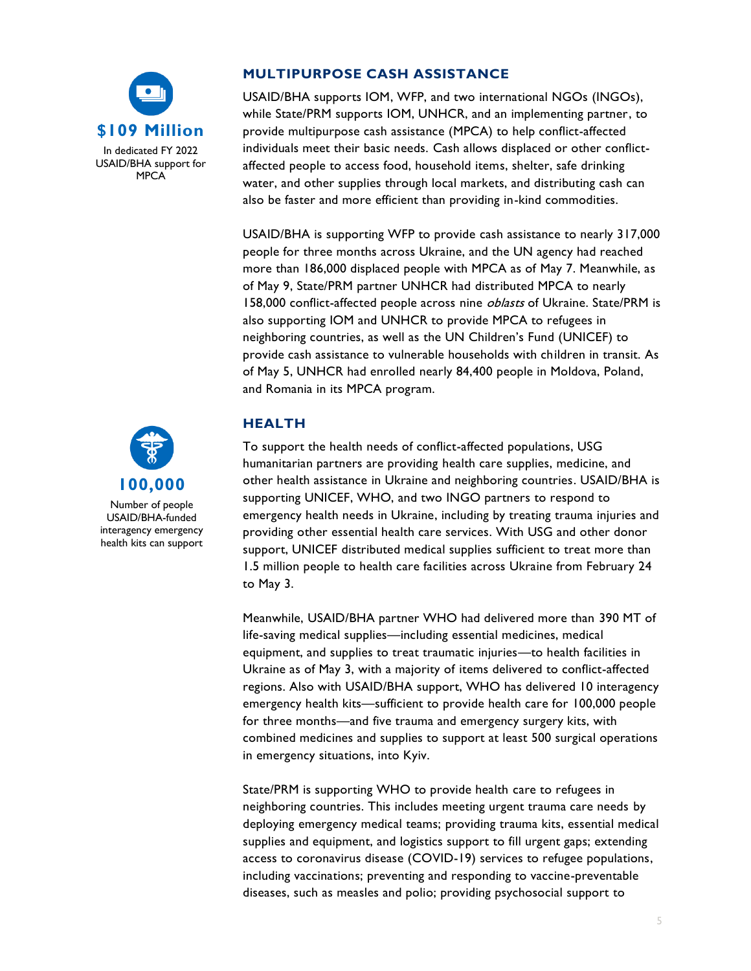



Number of people USAID/BHA-funded interagency emergency health kits can support

## **MULTIPURPOSE CASH ASSISTANCE**

USAID/BHA supports IOM, WFP, and two international NGOs (INGOs), while State/PRM supports IOM, UNHCR, and an implementing partner, to provide multipurpose cash assistance (MPCA) to help conflict-affected individuals meet their basic needs. Cash allows displaced or other conflictaffected people to access food, household items, shelter, safe drinking water, and other supplies through local markets, and distributing cash can also be faster and more efficient than providing in-kind commodities.

USAID/BHA is supporting WFP to provide cash assistance to nearly 317,000 people for three months across Ukraine, and the UN agency had reached more than 186,000 displaced people with MPCA as of May 7. Meanwhile, as of May 9, State/PRM partner UNHCR had distributed MPCA to nearly 158,000 conflict-affected people across nine *oblasts* of Ukraine. State/PRM is also supporting IOM and UNHCR to provide MPCA to refugees in neighboring countries, as well as the UN Children's Fund (UNICEF) to provide cash assistance to vulnerable households with children in transit. As of May 5, UNHCR had enrolled nearly 84,400 people in Moldova, Poland, and Romania in its MPCA program.

## **HEALTH**

To support the health needs of conflict-affected populations, USG humanitarian partners are providing health care supplies, medicine, and other health assistance in Ukraine and neighboring countries. USAID/BHA is supporting UNICEF, WHO, and two INGO partners to respond to emergency health needs in Ukraine, including by treating trauma injuries and providing other essential health care services. With USG and other donor support, UNICEF distributed medical supplies sufficient to treat more than 1.5 million people to health care facilities across Ukraine from February 24 to May 3.

Meanwhile, USAID/BHA partner WHO had delivered more than 390 MT of life-saving medical supplies—including essential medicines, medical equipment, and supplies to treat traumatic injuries—to health facilities in Ukraine as of May 3, with a majority of items delivered to conflict-affected regions. Also with USAID/BHA support, WHO has delivered 10 interagency emergency health kits—sufficient to provide health care for 100,000 people for three months—and five trauma and emergency surgery kits, with combined medicines and supplies to support at least 500 surgical operations in emergency situations, into Kyiv.

State/PRM is supporting WHO to provide health care to refugees in neighboring countries. This includes meeting urgent trauma care needs by deploying emergency medical teams; providing trauma kits, essential medical supplies and equipment, and logistics support to fill urgent gaps; extending access to coronavirus disease (COVID-19) services to refugee populations, including vaccinations; preventing and responding to vaccine-preventable diseases, such as measles and polio; providing psychosocial support to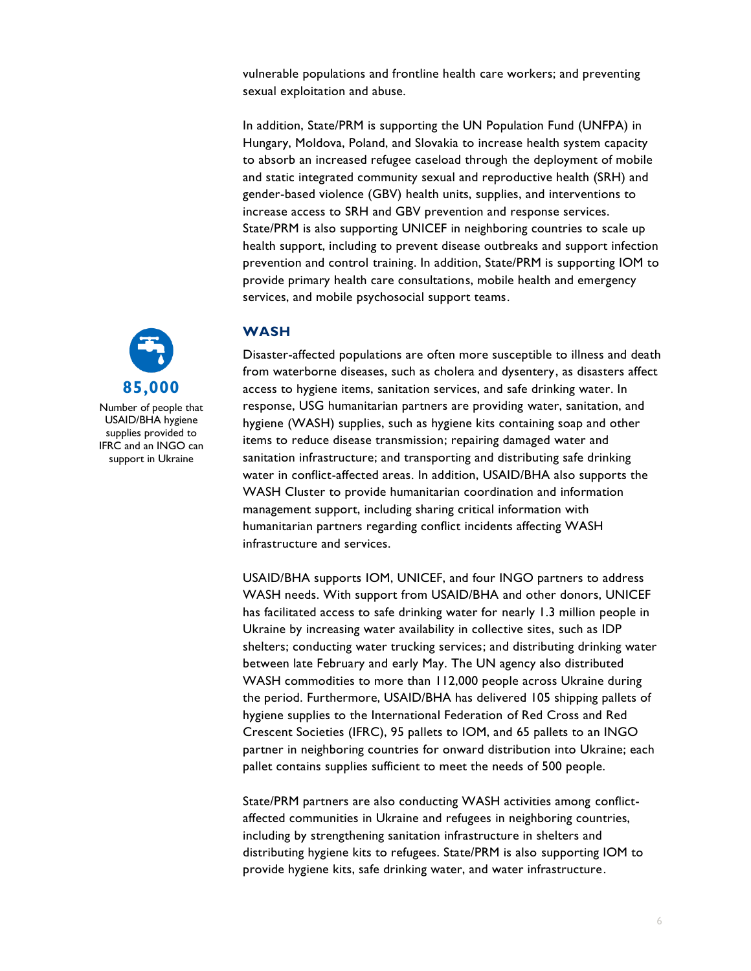vulnerable populations and frontline health care workers; and preventing sexual exploitation and abuse.

In addition, State/PRM is supporting the UN Population Fund (UNFPA) in Hungary, Moldova, Poland, and Slovakia to increase health system capacity to absorb an increased refugee caseload through the deployment of mobile and static integrated community sexual and reproductive health (SRH) and gender-based violence (GBV) health units, supplies, and interventions to increase access to SRH and GBV prevention and response services. State/PRM is also supporting UNICEF in neighboring countries to scale up health support, including to prevent disease outbreaks and support infection prevention and control training. In addition, State/PRM is supporting IOM to provide primary health care consultations, mobile health and emergency services, and mobile psychosocial support teams.



Disaster-affected populations are often more susceptible to illness and death from waterborne diseases, such as cholera and dysentery, as disasters affect access to hygiene items, sanitation services, and safe drinking water. In response, USG humanitarian partners are providing water, sanitation, and hygiene (WASH) supplies, such as hygiene kits containing soap and other items to reduce disease transmission; repairing damaged water and sanitation infrastructure; and transporting and distributing safe drinking water in conflict-affected areas. In addition, USAID/BHA also supports the WASH Cluster to provide humanitarian coordination and information management support, including sharing critical information with humanitarian partners regarding conflict incidents affecting WASH infrastructure and services.

USAID/BHA supports IOM, UNICEF, and four INGO partners to address WASH needs. With support from USAID/BHA and other donors, UNICEF has facilitated access to safe drinking water for nearly 1.3 million people in Ukraine by increasing water availability in collective sites, such as IDP shelters; conducting water trucking services; and distributing drinking water between late February and early May. The UN agency also distributed WASH commodities to more than 112,000 people across Ukraine during the period. Furthermore, USAID/BHA has delivered 105 shipping pallets of hygiene supplies to the International Federation of Red Cross and Red Crescent Societies (IFRC), 95 pallets to IOM, and 65 pallets to an INGO partner in neighboring countries for onward distribution into Ukraine; each pallet contains supplies sufficient to meet the needs of 500 people.

State/PRM partners are also conducting WASH activities among conflictaffected communities in Ukraine and refugees in neighboring countries, including by strengthening sanitation infrastructure in shelters and distributing hygiene kits to refugees. State/PRM is also supporting IOM to provide hygiene kits, safe drinking water, and water infrastructure.



Number of people that USAID/BHA hygiene supplies provided to IFRC and an INGO can support in Ukraine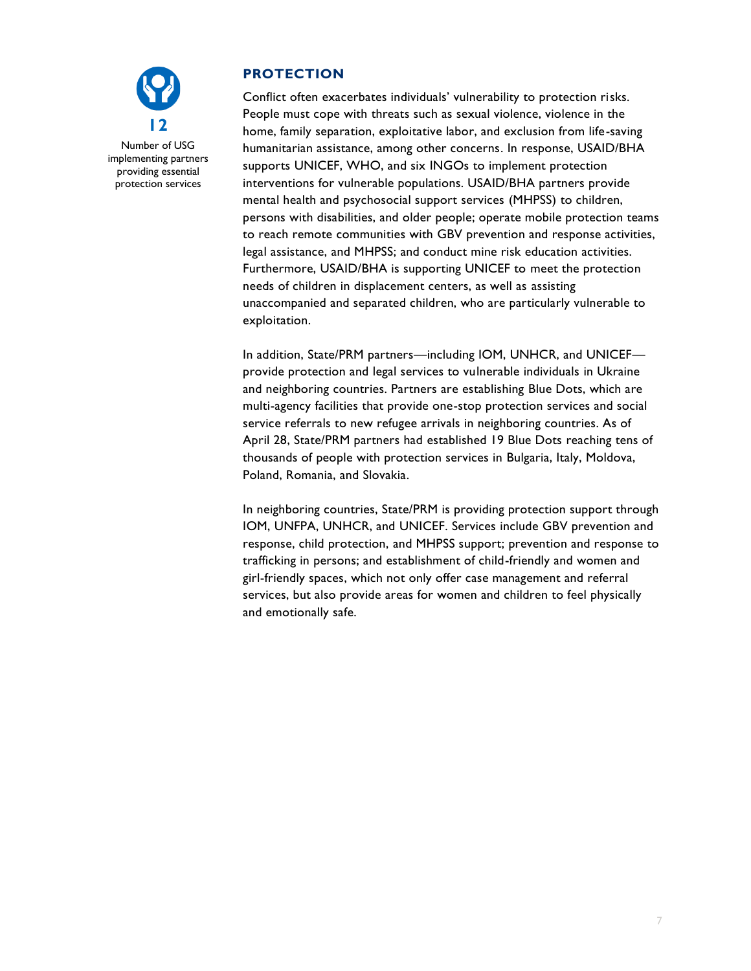

## **PROTECTION**

Conflict often exacerbates individuals' vulnerability to protection risks. People must cope with threats such as sexual violence, violence in the home, family separation, exploitative labor, and exclusion from life-saving humanitarian assistance, among other concerns. In response, USAID/BHA supports UNICEF, WHO, and six INGOs to implement protection interventions for vulnerable populations. USAID/BHA partners provide mental health and psychosocial support services (MHPSS) to children, persons with disabilities, and older people; operate mobile protection teams to reach remote communities with GBV prevention and response activities, legal assistance, and MHPSS; and conduct mine risk education activities. Furthermore, USAID/BHA is supporting UNICEF to meet the protection needs of children in displacement centers, as well as assisting unaccompanied and separated children, who are particularly vulnerable to exploitation.

In addition, State/PRM partners—including IOM, UNHCR, and UNICEF provide protection and legal services to vulnerable individuals in Ukraine and neighboring countries. Partners are establishing Blue Dots, which are multi-agency facilities that provide one-stop protection services and social service referrals to new refugee arrivals in neighboring countries. As of April 28, State/PRM partners had established 19 Blue Dots reaching tens of thousands of people with protection services in Bulgaria, Italy, Moldova, Poland, Romania, and Slovakia.

In neighboring countries, State/PRM is providing protection support through IOM, UNFPA, UNHCR, and UNICEF. Services include GBV prevention and response, child protection, and MHPSS support; prevention and response to trafficking in persons; and establishment of child-friendly and women and girl-friendly spaces, which not only offer case management and referral services, but also provide areas for women and children to feel physically and emotionally safe.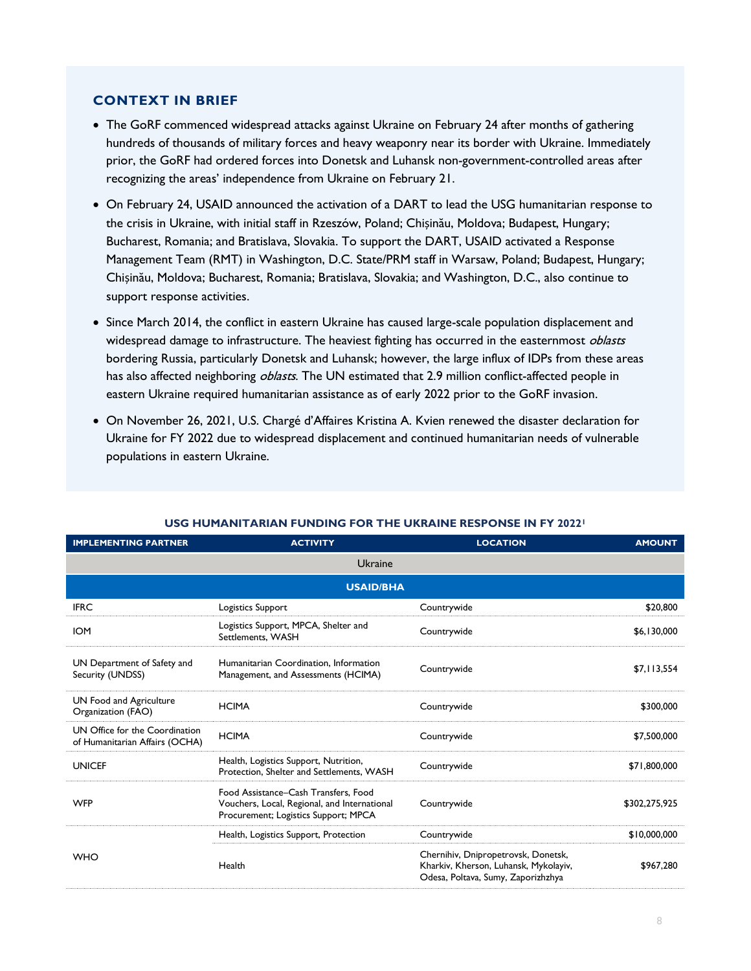## **CONTEXT IN BRIEF**

- The GoRF commenced widespread attacks against Ukraine on February 24 after months of gathering hundreds of thousands of military forces and heavy weaponry near its border with Ukraine. Immediately prior, the GoRF had ordered forces into Donetsk and Luhansk non-government-controlled areas after recognizing the areas' independence from Ukraine on February 21.
- On February 24, USAID announced the activation of a DART to lead the USG humanitarian response to the crisis in Ukraine, with initial staff in Rzeszów, Poland; Chișinău, Moldova; Budapest, Hungary; Bucharest, Romania; and Bratislava, Slovakia. To support the DART, USAID activated a Response Management Team (RMT) in Washington, D.C. State/PRM staff in Warsaw, Poland; Budapest, Hungary; Chișinău, Moldova; Bucharest, Romania; Bratislava, Slovakia; and Washington, D.C., also continue to support response activities.
- Since March 2014, the conflict in eastern Ukraine has caused large-scale population displacement and widespread damage to infrastructure. The heaviest fighting has occurred in the easternmost *oblasts* bordering Russia, particularly Donetsk and Luhansk; however, the large influx of IDPs from these areas has also affected neighboring *oblasts*. The UN estimated that 2.9 million conflict-affected people in eastern Ukraine required humanitarian assistance as of early 2022 prior to the GoRF invasion.
- On November 26, 2021, U.S. Chargé d'Affaires Kristina A. Kvien renewed the disaster declaration for Ukraine for FY 2022 due to widespread displacement and continued humanitarian needs of vulnerable populations in eastern Ukraine.

| <b>IMPLEMENTING PARTNER</b>                                      | <b>ACTIVITY</b>                                                                                                              | <b>LOCATION</b>                                                                                                    | <b>AMOUNT</b> |  |  |
|------------------------------------------------------------------|------------------------------------------------------------------------------------------------------------------------------|--------------------------------------------------------------------------------------------------------------------|---------------|--|--|
| Ukraine                                                          |                                                                                                                              |                                                                                                                    |               |  |  |
| <b>USAID/BHA</b>                                                 |                                                                                                                              |                                                                                                                    |               |  |  |
| <b>IFRC</b>                                                      | Logistics Support                                                                                                            | Countrywide                                                                                                        | \$20,800      |  |  |
| <b>IOM</b>                                                       | Logistics Support, MPCA, Shelter and<br>Settlements, WASH                                                                    | Countrywide                                                                                                        | \$6,130,000   |  |  |
| UN Department of Safety and<br>Security (UNDSS)                  | Humanitarian Coordination, Information<br>Management, and Assessments (HCIMA)                                                | Countrywide                                                                                                        | \$7,113,554   |  |  |
| UN Food and Agriculture<br>Organization (FAO)                    | <b>HCIMA</b>                                                                                                                 | Countrywide                                                                                                        | \$300,000     |  |  |
| UN Office for the Coordination<br>of Humanitarian Affairs (OCHA) | <b>HCIMA</b>                                                                                                                 | Countrywide                                                                                                        | \$7,500,000   |  |  |
| <b>UNICEF</b>                                                    | Health, Logistics Support, Nutrition,<br>Protection, Shelter and Settlements, WASH                                           | Countrywide                                                                                                        | \$71,800,000  |  |  |
| <b>WFP</b>                                                       | Food Assistance–Cash Transfers, Food<br>Vouchers, Local, Regional, and International<br>Procurement; Logistics Support; MPCA | Countrywide                                                                                                        | \$302,275,925 |  |  |
| <b>WHO</b>                                                       | Health, Logistics Support, Protection                                                                                        | Countrywide                                                                                                        | \$10,000,000  |  |  |
|                                                                  | Health                                                                                                                       | Chernihiv, Dnipropetrovsk, Donetsk,<br>Kharkiv, Kherson, Luhansk, Mykolayiv,<br>Odesa, Poltava, Sumy, Zaporizhzhya | \$967,280     |  |  |

#### **USG HUMANITARIAN FUNDING FOR THE UKRAINE RESPONSE IN FY 2022<sup>1</sup>**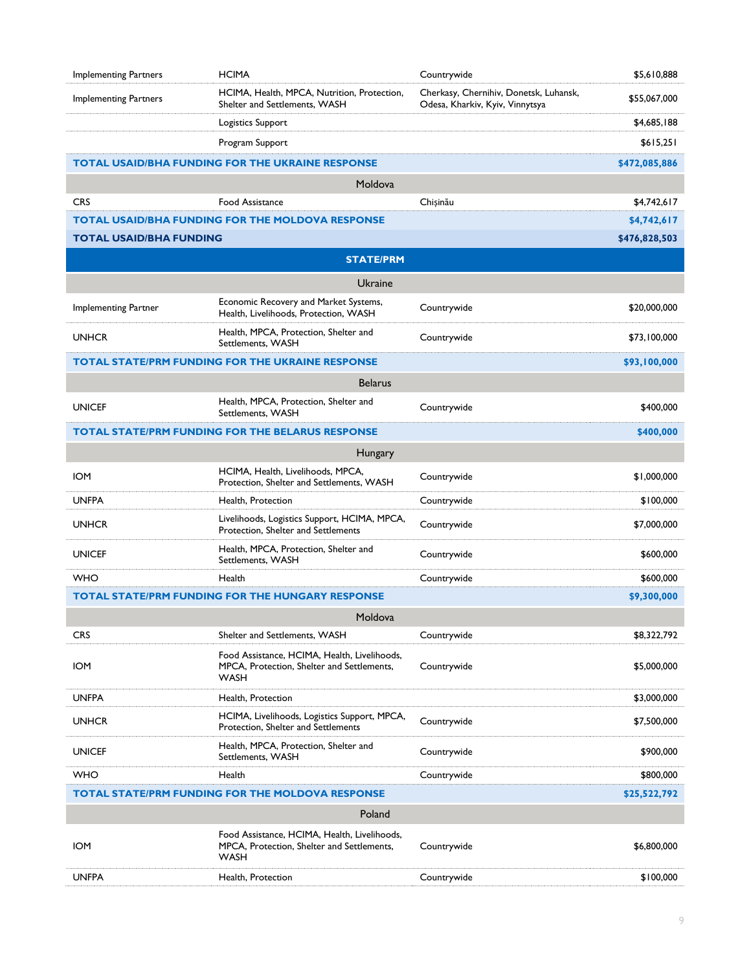| <b>Implementing Partners</b>                                            | <b>HCIMA</b>                                                                                              | Countrywide                                                               | \$5,610,888   |  |
|-------------------------------------------------------------------------|-----------------------------------------------------------------------------------------------------------|---------------------------------------------------------------------------|---------------|--|
| <b>Implementing Partners</b>                                            | HCIMA, Health, MPCA, Nutrition, Protection,<br>Shelter and Settlements, WASH                              | Cherkasy, Chernihiv, Donetsk, Luhansk,<br>Odesa, Kharkiv, Kyiv, Vinnytsya | \$55,067,000  |  |
|                                                                         | Logistics Support                                                                                         |                                                                           | \$4,685,188   |  |
|                                                                         | Program Support                                                                                           |                                                                           | \$615,251     |  |
|                                                                         | <b>TOTAL USAID/BHA FUNDING FOR THE UKRAINE RESPONSE</b>                                                   |                                                                           | \$472,085,886 |  |
|                                                                         | Moldova                                                                                                   |                                                                           |               |  |
| <b>CRS</b>                                                              | <b>Food Assistance</b>                                                                                    | Chișinău                                                                  | \$4,742,617   |  |
|                                                                         | <b>TOTAL USAID/BHA FUNDING FOR THE MOLDOVA RESPONSE</b>                                                   |                                                                           | \$4,742,617   |  |
| <b>TOTAL USAID/BHA FUNDING</b>                                          |                                                                                                           |                                                                           | \$476,828,503 |  |
|                                                                         | <b>STATE/PRM</b>                                                                                          |                                                                           |               |  |
|                                                                         | Ukraine                                                                                                   |                                                                           |               |  |
| Implementing Partner                                                    | Economic Recovery and Market Systems,<br>Health, Livelihoods, Protection, WASH                            | Countrywide                                                               | \$20,000,000  |  |
| <b>UNHCR</b>                                                            | Health, MPCA, Protection, Shelter and<br>Settlements, WASH                                                | Countrywide                                                               | \$73,100,000  |  |
|                                                                         | <b>TOTAL STATE/PRM FUNDING FOR THE UKRAINE RESPONSE</b>                                                   |                                                                           | \$93,100,000  |  |
|                                                                         | <b>Belarus</b>                                                                                            |                                                                           |               |  |
| <b>UNICEF</b>                                                           | Health, MPCA, Protection, Shelter and<br>Settlements, WASH                                                | Countrywide                                                               | \$400,000     |  |
|                                                                         | <b>TOTAL STATE/PRM FUNDING FOR THE BELARUS RESPONSE</b>                                                   |                                                                           | \$400,000     |  |
|                                                                         | Hungary                                                                                                   |                                                                           |               |  |
| <b>IOM</b>                                                              | HCIMA, Health, Livelihoods, MPCA,<br>Protection, Shelter and Settlements, WASH                            | Countrywide                                                               | \$1,000,000   |  |
| <b>UNFPA</b>                                                            | Health, Protection                                                                                        | Countrywide                                                               | \$100,000     |  |
| <b>UNHCR</b>                                                            | Livelihoods, Logistics Support, HCIMA, MPCA,<br>Protection, Shelter and Settlements                       | Countrywide                                                               | \$7,000,000   |  |
| <b>UNICEF</b>                                                           | Health, MPCA, Protection, Shelter and<br>Settlements, WASH                                                | Countrywide                                                               | \$600,000     |  |
| <b>WHO</b>                                                              | Health                                                                                                    | Countrywide                                                               | \$600,000     |  |
|                                                                         | <b>TOTAL STATE/PRM FUNDING FOR THE HUNGARY RESPONSE</b>                                                   |                                                                           | \$9,300,000   |  |
|                                                                         | Moldova                                                                                                   |                                                                           |               |  |
| <b>CRS</b>                                                              | Shelter and Settlements, WASH                                                                             | Countrywide                                                               | \$8,322,792   |  |
| <b>IOM</b>                                                              | Food Assistance, HCIMA, Health, Livelihoods,<br>MPCA. Protection. Shelter and Settlements.<br><b>WASH</b> | Countrywide                                                               | \$5,000,000   |  |
| <b>UNFPA</b>                                                            | Health, Protection                                                                                        |                                                                           | \$3,000,000   |  |
| <b>UNHCR</b>                                                            | HCIMA, Livelihoods, Logistics Support, MPCA,<br>Protection, Shelter and Settlements                       | Countrywide                                                               | \$7,500,000   |  |
| <b>UNICEF</b>                                                           | Health, MPCA, Protection, Shelter and<br>Settlements, WASH                                                | Countrywide                                                               | \$900,000     |  |
| <b>WHO</b>                                                              | Health                                                                                                    | Countrywide                                                               | \$800,000     |  |
| <b>TOTAL STATE/PRM FUNDING FOR THE MOLDOVA RESPONSE</b><br>\$25,522,792 |                                                                                                           |                                                                           |               |  |
|                                                                         | Poland                                                                                                    |                                                                           |               |  |
| <b>IOM</b>                                                              | Food Assistance, HCIMA, Health, Livelihoods,<br>MPCA, Protection, Shelter and Settlements,<br><b>WASH</b> | Countrywide                                                               | \$6,800,000   |  |
| <b>UNFPA</b>                                                            | Health, Protection                                                                                        | Countrywide                                                               | \$100,000     |  |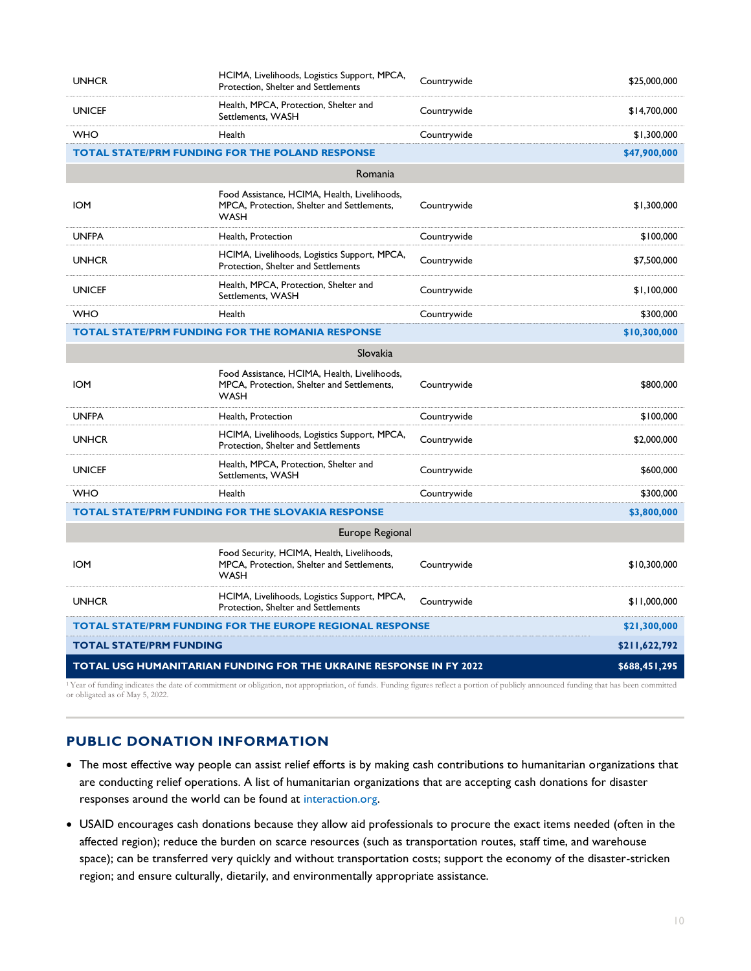| <b>UNHCR</b>                                                                                                                                                                                      | HCIMA, Livelihoods, Logistics Support, MPCA,<br>Protection, Shelter and Settlements                       | Countrywide | \$25,000,000  |  |  |
|---------------------------------------------------------------------------------------------------------------------------------------------------------------------------------------------------|-----------------------------------------------------------------------------------------------------------|-------------|---------------|--|--|
| <b>UNICEF</b>                                                                                                                                                                                     | Health, MPCA, Protection, Shelter and<br>Settlements, WASH                                                | Countrywide | \$14,700,000  |  |  |
| <b>WHO</b>                                                                                                                                                                                        | Health                                                                                                    | Countrywide | \$1,300,000   |  |  |
|                                                                                                                                                                                                   | <b>TOTAL STATE/PRM FUNDING FOR THE POLAND RESPONSE</b>                                                    |             | \$47,900,000  |  |  |
|                                                                                                                                                                                                   | Romania                                                                                                   |             |               |  |  |
| <b>IOM</b>                                                                                                                                                                                        | Food Assistance, HCIMA, Health, Livelihoods,<br>MPCA, Protection, Shelter and Settlements,<br><b>WASH</b> | Countrywide | \$1,300,000   |  |  |
| <b>UNFPA</b>                                                                                                                                                                                      | Health, Protection                                                                                        | Countrywide | \$100,000     |  |  |
| <b>UNHCR</b>                                                                                                                                                                                      | HCIMA, Livelihoods, Logistics Support, MPCA,<br>Protection, Shelter and Settlements                       | Countrywide | \$7,500,000   |  |  |
| <b>UNICEF</b>                                                                                                                                                                                     | Health, MPCA, Protection, Shelter and<br>Settlements, WASH                                                | Countrywide | \$1,100,000   |  |  |
| <b>WHO</b>                                                                                                                                                                                        | Health                                                                                                    | Countrywide | \$300,000     |  |  |
|                                                                                                                                                                                                   | <b>TOTAL STATE/PRM FUNDING FOR THE ROMANIA RESPONSE</b>                                                   |             | \$10,300,000  |  |  |
|                                                                                                                                                                                                   | Slovakia                                                                                                  |             |               |  |  |
| <b>IOM</b>                                                                                                                                                                                        | Food Assistance, HCIMA, Health, Livelihoods,<br>MPCA, Protection, Shelter and Settlements,<br><b>WASH</b> | Countrywide | \$800,000     |  |  |
| <b>UNFPA</b>                                                                                                                                                                                      | Health, Protection                                                                                        | Countrywide | \$100,000     |  |  |
| <b>UNHCR</b>                                                                                                                                                                                      | HCIMA, Livelihoods, Logistics Support, MPCA,<br>Protection, Shelter and Settlements                       | Countrywide | \$2,000,000   |  |  |
| <b>UNICEF</b>                                                                                                                                                                                     | Health, MPCA, Protection, Shelter and<br>Settlements, WASH                                                | Countrywide | \$600,000     |  |  |
| <b>WHO</b>                                                                                                                                                                                        | Health                                                                                                    | Countrywide | \$300,000     |  |  |
|                                                                                                                                                                                                   | <b>TOTAL STATE/PRM FUNDING FOR THE SLOVAKIA RESPONSE</b>                                                  |             | \$3,800,000   |  |  |
| Europe Regional                                                                                                                                                                                   |                                                                                                           |             |               |  |  |
| <b>IOM</b>                                                                                                                                                                                        | Food Security, HCIMA, Health, Livelihoods,<br>MPCA, Protection, Shelter and Settlements,<br><b>WASH</b>   | Countrywide | \$10,300,000  |  |  |
| <b>UNHCR</b>                                                                                                                                                                                      | HCIMA, Livelihoods, Logistics Support, MPCA,<br>Protection, Shelter and Settlements                       | Countrywide | \$11,000,000  |  |  |
| <b>TOTAL STATE/PRM FUNDING FOR THE EUROPE REGIONAL RESPONSE</b>                                                                                                                                   |                                                                                                           |             | \$21,300,000  |  |  |
| <b>TOTAL STATE/PRM FUNDING</b>                                                                                                                                                                    |                                                                                                           |             | \$211,622,792 |  |  |
| TOTAL USG HUMANITARIAN FUNDING FOR THE UKRAINE RESPONSE IN FY 2022<br>\$688,451,295                                                                                                               |                                                                                                           |             |               |  |  |
| <sup>1</sup> Year of funding indicates the date of commitment or obligation, not appropriation, of funds. Funding figures reflect a portion of publicly announced funding that has been committed |                                                                                                           |             |               |  |  |

or obligated as of May 5, 2022.

## **PUBLIC DONATION INFORMATION**

- The most effective way people can assist relief efforts is by making cash contributions to humanitarian organizations that are conducting relief operations. A list of humanitarian organizations that are accepting cash donations for disaster responses around the world can be found at [interaction.org.](https://www.interaction.org/)
- USAID encourages cash donations because they allow aid professionals to procure the exact items needed (often in the affected region); reduce the burden on scarce resources (such as transportation routes, staff time, and warehouse space); can be transferred very quickly and without transportation costs; support the economy of the disaster-stricken region; and ensure culturally, dietarily, and environmentally appropriate assistance.